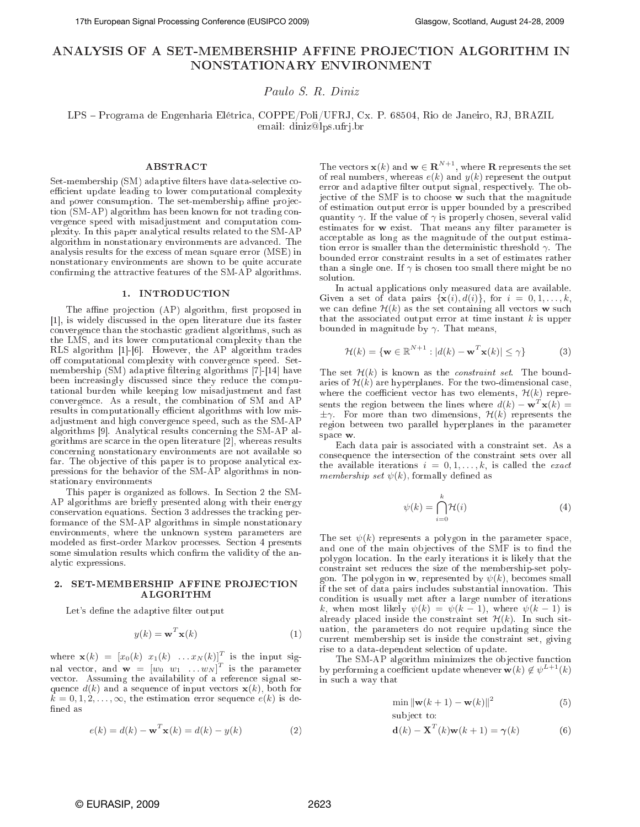# ANALYSIS OF A SET-MEMBERSHIP AFFINE PROJECTION ALGORITHM IN NONSTATIONARY ENVIRONMENT

Paulo S. R. Diniz

LPS Programa de Engenharia Elétri
a, COPPE/Poli/UFRJ, Cx. P. 68504, Rio de Janeiro, RJ, BRAZIL email: diniz@lps.ufrj.br

### ABSTRACT

Set-membership (SM) adaptive filters have data-selective coefficient update leading to lower computational complexity and power consumption. The set-membership affine projection (SM-AP) algorithm has been known for not trading convergen
e speed with misadjustment and omputation omplexity. In this paper analyti
al results related to the SM-AP algorithm in nonstationary environments are advan
ed. The analysis results for the ex
ess of mean square error (MSE) in nonstationary environments are shown to be quite accurate confirming the attractive features of the SM-AP algorithms.

## 1. INTRODUCTION

The affine projection (AP) algorithm, first proposed in [1], is widely discussed in the open literature due its faster onvergen
e than the sto
hasti gradient algorithms, su
h as the LMS, and its lower omputational omplexity than the RLS algorithm [1]-[6]. However, the AP algorithm trades off computational complexity with convergence speed. Setmembership  $(SM)$  adaptive filtering algorithms [7]-[14] have been increasingly discussed since they reduce the computational burden while keeping low misadjustment and fast onvergen
e. As a result, the ombination of SM and AP results in computationally efficient algorithms with low misadjustment and high onvergen
e speed, su
h as the SM-AP algorithms [9]. Analytical results concerning the SM-AP algorithms are scarce in the open literature [2], whereas results on
erning nonstationary environments are not available so far. The objective of this paper is to propose analytical expressions for the behavior of the SM-AP algorithms in nonstationary environments

This paper is organized as follows. In Section 2 the SM-AP algorithms are briefly presented along with their energy conservation equations. Section 3 addresses the tracking performan
e of the SM-AP algorithms in simple nonstationary environments, where the unknown system parameters are modeled as first-order Markov processes. Section 4 presents some simulation results which confirm the validity of the analyti expressions.

### 2. SET-MEMBERSHIP AFFINE PROJECTION ALGORITHM

Let's define the adaptive filter output

$$
y(k) = \mathbf{w}^T \mathbf{x}(k)
$$
 (1)

where  $\mathbf{x}(k) = [x_0(k) \ x_1(k) \dots x_N(k)]^T$  is the input signal vector, and  $\mathbf{w} = [w_0 \ w_1 \dots w_N]^T$  is the parameter vector. Assuming the availability of a reference signal sequence  $d(k)$  and a sequence of input vectors  $\mathbf{x}(k)$ , both for  $k = 0, 1, 2, \ldots, \infty$ , the estimation error sequence  $e(k)$  is defined as

$$
e(k) = d(k) - \mathbf{w}^T \mathbf{x}(k) = d(k) - y(k)
$$
 (2)

The vectors  $\mathbf{x}(k)$  and  $\mathbf{w} \in \mathbf{R}^{N+1}$ , where **R** represents the set of real numbers, whereas  $e(k)$  and  $y(k)$  represent the output error and adaptive filter output signal, respectively. The objective of the SMF is to choose w such that the magnitude of estimation output error is upper bounded by a pres
ribed quantity  $\gamma$ . If the value of  $\gamma$  is properly chosen, several valid estimates for w exist. That means any filter parameter is acceptable as long as the magnitude of the output estimation error is smaller than the deterministic threshold  $\gamma$ . The bounded error onstraint results in a set of estimates rather than a single one. If  $\gamma$  is chosen too small there might be no solution.

In actual applications only measured data are available. Given a set of data pairs  $\{x(i), d(i)\}\text{, for } i = 0, 1, \ldots, k,$ we can define  $\mathcal{H}(k)$  as the set containing all vectors w such that the associated output error at time instant  $k$  is upper bounded in magnitude by  $\gamma$ . That means,

$$
\mathcal{H}(k) = \{ \mathbf{w} \in \mathbb{R}^{N+1} : |d(k) - \mathbf{w}^T \mathbf{x}(k)| \le \gamma \}
$$
 (3)

The set  $\mathcal{H}(k)$  is known as the *constraint set*. The boundaries of  $\mathcal{H}(k)$  are hyperplanes. For the two-dimensional case, where the coefficient vector has two elements,  $\mathcal{H}(k)$  represents the region between the lines where  $d(k) - \mathbf{w}^T \mathbf{x}(k) =$  $\pm \gamma$ . For more than two dimensions,  $\mathcal{H}(k)$  represents the region between two parallel hyperplanes in the parameter space w. spa
e w.

Ea
h data pair is asso
iated with a onstraint set. As a onsequen
e the interse
tion of the onstraint sets over all the available iterations  $i = 0, 1, \ldots, k$ , is called the exact membership set  $\psi(k)$ , formally defined as

$$
\psi(k) = \bigcap_{i=0}^{k} \mathcal{H}(i)
$$
\n(4)

The set  $\psi(k)$  represents a polygon in the parameter space, and one of the main objectives of the SMF is to find the polygon lo
ation. In the early iterations it is likely that the onstraint set redu
es the size of the membership-set polygon. The polygon in **w**, represented by  $\psi(k)$ , becomes small if the set of data pairs in
ludes substantial innovation. This ondition is usually met after a large number of iterations k, when most likely  $\psi(k) = \psi(k-1)$ , where  $\psi(k-1)$  is already placed inside the constraint set  $\mathcal{H}(k)$ . In such situation, the parameters do not require updating since the urrent membership set is inside the onstraint set, giving rise to a data-dependent sele
tion of update.

The SM-AP algorithm minimizes the objective function by performing a coefficient update whenever  $\mathbf{w}(k) \notin \psi^{L+1}(k)$ in su
h a way that

$$
\min \| \mathbf{w}(k+1) - \mathbf{w}(k) \|^2 \tag{5}
$$

subject to:

$$
\mathbf{d}(k) - \mathbf{X}^{T}(k)\mathbf{w}(k+1) = \boldsymbol{\gamma}(k)
$$
 (6)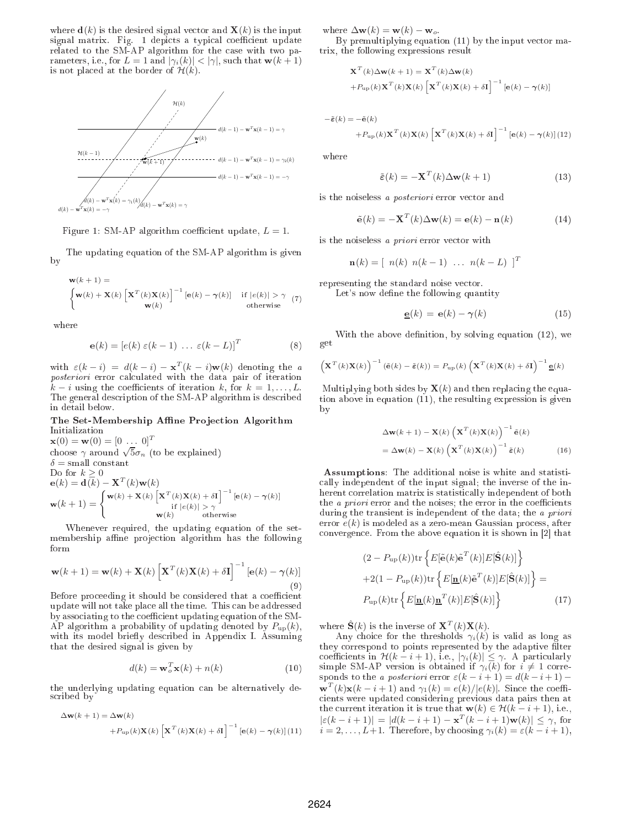where  $\mathbf{d}(k)$  is the desired signal vector and  $\mathbf{X}(k)$  is the input signal matrix. Fig. 1 depicts a typical coefficient update related to the SM-AP algorithm for the ase with two parameters, i.e., for  $L = 1$  and  $|\gamma_i(k)| < |\gamma|$ , such that  $w(k + 1)$ is not placed at the border of  $\mathcal{H}(k)$ .



Figure 1: SM-AP algorithm coefficient update,  $L = 1$ .

The updating equation of the SM-AP algorithm is given by

$$
\mathbf{w}(k+1) = \begin{cases} \mathbf{w}(k) + \mathbf{X}(k) \left[ \mathbf{X}^T(k) \mathbf{X}(k) \right]^{-1} \left[ \mathbf{e}(k) - \gamma(k) \right] & \text{if } |e(k)| > \gamma \quad (7) \\ \mathbf{w}(k) & \text{otherwise} \end{cases}
$$

where

$$
\mathbf{e}(k) = [e(k) \ \varepsilon(k-1) \ \dots \ \varepsilon(k-L)]^T \tag{8}
$$

with  $\varepsilon(k-i) = d(k-i) - \mathbf{x}^T(k-i)\mathbf{w}(k)$  denoting the a posteriori error calculated with the data pair of iteration  $k-i$  using the coefficients of iteration k, for  $k=1,\ldots,L$ . The general des
ription of the SM-AP algorithm is des
ribed in detail below.

### The Set-Membership Affine Projection Algorithm Initialization

 $\mathbf{x}(0) = \mathbf{w}(0) = [0 \dots 0]^T$ choose  $\gamma$  around  $\sqrt{5}\sigma_n$  (to be explained)  $\delta = \text{small constant}$ Do for  $k \geq 0$  $\mathbf{e}(k) = \mathbf{d}(k) - \mathbf{X}^T(k)\mathbf{w}(k)$  $\mathbf{w}(k+1) = \begin{cases} \mathbf{w}(k) + \mathbf{X}(k) \left[ \mathbf{X}^T(k) \mathbf{X}(k) + \delta \mathbf{I} \right]^{-1} [\mathbf{e}(k) - \gamma(k)] \\ \text{if } |e(k)| > \gamma \end{cases}$ if  $|e(k)| > \gamma$  $\mathbf{w}(k)$  otherwise

Whenever required, the updating equation of the setmembership affine projection algorithm has the following form

$$
\mathbf{w}(k+1) = \mathbf{w}(k) + \mathbf{X}(k) \left[ \mathbf{X}^T(k) \mathbf{X}(k) + \delta \mathbf{I} \right]^{-1} [\mathbf{e}(k) - \gamma(k)]
$$
\n(9)

Before pro
eeding it should be onsidered that a oe
ient update will not take pla
e all the time. This an be addressed by associating to the coefficient updating equation of the SM-AP algorithm a probability of updating denoted by  $P_{\text{up}}(k)$ , with its model briefly described in Appendix I. Assuming that the desired signal is given by

$$
d(k) = \mathbf{w}_o^T \mathbf{x}(k) + n(k)
$$
 (10)

the underlying updating equation an be alternatively des
ribed by

$$
\Delta \mathbf{w}(k+1) = \Delta \mathbf{w}(k)
$$
  
+ $P_{\text{up}}(k) \mathbf{X}(k) \left[ \mathbf{X}^T(k) \mathbf{X}(k) + \delta \mathbf{I} \right]^{-1} \left[ \mathbf{e}(k) - \gamma(k) \right] (11)$ 

where  $\Delta \mathbf{w}(k) = \mathbf{w}(k) - \mathbf{w}_o$ .

By premultiplying equation  $(11)$  by the input vector matrix, the following expressions result

$$
\mathbf{X}^{T}(k)\Delta\mathbf{w}(k+1) = \mathbf{X}^{T}(k)\Delta\mathbf{w}(k)
$$
  
+ $P_{\text{up}}(k)\mathbf{X}^{T}(k)\mathbf{X}(k)\left[\mathbf{X}^{T}(k)\mathbf{X}(k)+\delta\mathbf{I}\right]^{-1}\left[\mathbf{e}(k)-\boldsymbol{\gamma}(k)\right]$ 

$$
-\tilde{\pmb{\varepsilon}}(k)=-\tilde{\mathbf{e}}(k)
$$

$$
+P_{\text{up}}(k)\mathbf{X}^{T}(k)\mathbf{X}(k)\left[\mathbf{X}^{T}(k)\mathbf{X}(k)+\delta\mathbf{I}\right]^{-1}\left[\mathbf{e}(k)-\boldsymbol{\gamma}(k)\right](12)
$$

where

$$
\tilde{\varepsilon}(k) = -\mathbf{X}^{T}(k)\Delta\mathbf{w}(k+1)
$$
\n(13)

is the noiseless a *posteriori* error vector and

$$
\tilde{\mathbf{e}}(k) = -\mathbf{X}^{T}(k)\Delta\mathbf{w}(k) = \mathbf{e}(k) - \mathbf{n}(k)
$$
 (14)

is the noiseless a *priori* error vector with

$$
\mathbf{n}(k) = [n(k) n(k-1) \dots n(k-L)]^T
$$

representing the standard noise ve
tor.

Let's now define the following quantity

$$
\underline{\mathbf{e}}(k) = \mathbf{e}(k) - \gamma(k) \tag{15}
$$

With the above definition, by solving equation  $(12)$ , we get

$$
\left(\mathbf{X}^{T}(k)\mathbf{X}(k)\right)^{-1}(\tilde{\mathbf{e}}(k)-\tilde{\boldsymbol{\varepsilon}}(k))=P_{\text{up}}(k)\left(\mathbf{X}^{T}(k)\mathbf{X}(k)+\delta\mathbf{I}\right)^{-1}\underline{\mathbf{e}}(k)
$$

Multiplying both sides by  $\mathbf{X}(k)$  and then replacing the equation above in equation (11), the resulting expression is given by

$$
\Delta \mathbf{w}(k+1) - \mathbf{X}(k) \left( \mathbf{X}^{T}(k) \mathbf{X}(k) \right)^{-1} \tilde{\mathbf{e}}(k)
$$

$$
= \Delta \mathbf{w}(k) - \mathbf{X}(k) \left( \mathbf{X}^{T}(k) \mathbf{X}(k) \right)^{-1} \tilde{\mathbf{e}}(k) \tag{16}
$$

Assumptions: The additional noise is white and statisti ally independent of the input signal; the inverse of the inherent orrelation matrix is statisti
ally independent of both the *a priori* error and the noises; the error in the coefficients during the transient is independent of the data; the a priori error  $e(k)$  is modeled as a zero-mean Gaussian process, after convergence. From the above equation it is shown in [2] that

$$
(2 - P_{\text{up}}(k)) \text{tr} \left\{ E[\tilde{\mathbf{e}}(k)\tilde{\mathbf{e}}^T(k)] E[\hat{\mathbf{S}}(k)] \right\}
$$

$$
+ 2(1 - P_{\text{up}}(k)) \text{tr} \left\{ E[\underline{\mathbf{n}}(k)\tilde{\mathbf{e}}^T(k)] E[\hat{\mathbf{S}}(k)] \right\} =
$$

$$
P_{\text{up}}(k) \text{tr} \left\{ E[\underline{\mathbf{n}}(k)\underline{\mathbf{n}}^T(k)] E[\hat{\mathbf{S}}(k)] \right\}
$$
(17)

where  $\hat{\mathbf{S}}(k)$  is the inverse of  $\mathbf{X}^T(k)\mathbf{X}(k)$ .

Any choice for the thresholds  $\gamma_i(k)$  is valid as long as they correspond to points represented by the adaptive filter coefficients in  $\mathcal{H}(k-i+1)$ , i.e.,  $|\gamma_i(k)| \leq \gamma$ . A particularly simple SM-AP version is obtained if  $\gamma_i(k)$  for  $i \neq 1$  corresponds to the a posteriori error  $\varepsilon(k-i+1) = d(k-i+1) \mathbf{w}^T(k)\mathbf{x}(k-i+1)$  and  $\gamma_1(k) = e(k)/|e(k)|$ . Since the coeffiients were updated onsidering previous data pairs then at the current iteration it is true that  $\mathbf{w}(k) \in \mathcal{H}(k-i+1)$ , i.e.,  $|\varepsilon(k - i + 1)| = |d(k - i + 1) - \mathbf{x}^{T}(k - i + 1)\mathbf{w}(k)| \leq \gamma$ , for  $i = 2, \ldots, L+1$ . Therefore, by choosing  $\gamma_i(k) = \varepsilon(k-i+1)$ ,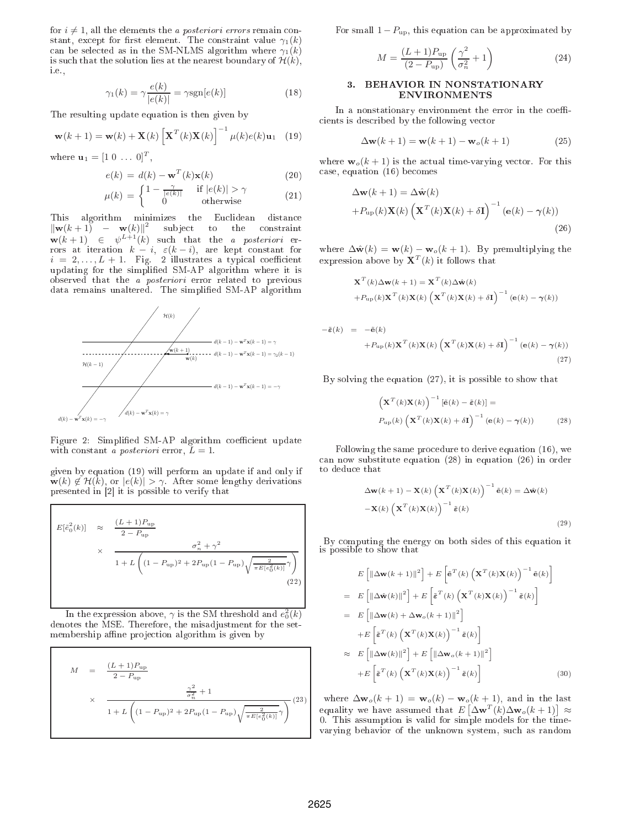for  $i \neq 1$ , all the elements the *a posteriori errors* remain constant, except for first element. The constraint value  $\gamma_1(k)$ can be selected as in the SM-NLMS algorithm where  $\gamma_1(k)$ is such that the solution lies at the nearest boundary of  $\mathcal{H}(k)$ , i.e.,

$$
\gamma_1(k) = \gamma \frac{e(k)}{|e(k)|} = \gamma \text{sgn}[e(k)] \tag{18}
$$

The resulting update equation is then given by

$$
\mathbf{w}(k+1) = \mathbf{w}(k) + \mathbf{X}(k) \left[ \mathbf{X}^{T}(k) \mathbf{X}(k) \right]^{-1} \mu(k) e(k) \mathbf{u}_{1} \quad (19)
$$

where **,** 

$$
e(k) = d(k) - \mathbf{w}^{T}(k)\mathbf{x}(k)
$$
\n(20)

$$
\mu(k) = \begin{cases} 1 - \frac{\gamma}{|e(k)|} & \text{if } |e(k)| > \gamma \\ 0 & \text{otherwise} \end{cases} \tag{21}
$$

This algorithm minimizes the Eu
lidean distan
e  $\|\mathbf{w}(k+1) - \mathbf{w}(k)\|^2$  subject to the constraint  $\mathbf{w}(k+1) \in \psi^{L+1}(k)$  such that the *a posteriori* errors at iteration  $k - i$ ,  $\varepsilon(k - i)$ , are kept constant for  $i~=~2,\ldots,L~+$  1.  $~$  Fig.  $~$  2 illustrates a typical coefficient updating for the simplicity for the simplicity in the simplicity in the simplicity is in the simplicity of  $\mathcal{M}$ observed that the a posteriori error related to previous data remains unaltered. The simplied SM-AP algorithm



Figure 2: Simplified SM-AP algorithm coefficient update with constant a posteriori error,  $L = 1$ .

given by equation (19) will perform an update if and only if  $\mathbf{w}(k) \notin \mathcal{H}(k)$ , or  $|e(k)| > \gamma$ . After some lengthy derivations presented in  $[2]$  it is possible to verify that

$$
E[\tilde{e}_0^2(k)] \approx \frac{(L+1)P_{\text{up}}}{2 - P_{\text{up}}}
$$
  
 
$$
\times \frac{\sigma_n^2 + \gamma^2}{1 + L\left((1 - P_{\text{up}})^2 + 2P_{\text{up}}(1 - P_{\text{up}})\sqrt{\frac{2}{\pi E[e_0^2(k)]}}\gamma\right)}
$$
(22)

In the expression above,  $\gamma$  is the SM threshold and  $e_0^2(k)$ denotes the MSE. Therefore, the misadjustment for the setmembership affine projection algorithm is given by

$$
M = \frac{(L+1)P_{\rm up}}{2 - P_{\rm up}}
$$
  
 
$$
\times \frac{\frac{\gamma^2}{\sigma_n^2} + 1}{1 + L \left( (1 - P_{\rm up})^2 + 2P_{\rm up} (1 - P_{\rm up}) \sqrt{\frac{2}{\pi E[e_0^2(k)]}} \gamma \right)} (23)
$$

For small  $1-P_{\text{up}}$ , this equation can be approximated by

$$
M = \frac{(L+1)P_{\rm up}}{(2 - P_{\rm up})} \left(\frac{\gamma^2}{\sigma_n^2} + 1\right)
$$
 (24)

#### $\overline{\mathbf{3}}$ . 3. BEHAVIOR IN NONSTATIONARY **ENVIRONMENTS**

In a nonstationary environment the error in the coefficients is described by the following vector

$$
\Delta \mathbf{w}(k+1) = \mathbf{w}(k+1) - \mathbf{w}_o(k+1) \tag{25}
$$

where  $\mathbf{w}_o(k+1)$  is the actual time-varying vector. For this ase, equation (16) be
omes

$$
\Delta \mathbf{w}(k+1) = \Delta \hat{\mathbf{w}}(k)
$$
  
+ $P_{\text{up}}(k) \mathbf{X}(k) \left( \mathbf{X}^T(k) \mathbf{X}(k) + \delta \mathbf{I} \right)^{-1} (\mathbf{e}(k) - \gamma(k))$  (26)

where  $\Delta \hat{\mathbf{w}}(k) = \mathbf{w}(k) - \mathbf{w}_o(k+1)$ . By premultiplying the expression above by  $\mathbf{X}^T(k)$  it follows that

$$
\begin{aligned} \mathbf{X}^{T}(k)\Delta\mathbf{w}(k+1) &= \mathbf{X}^{T}(k)\Delta\hat{\mathbf{w}}(k) \\ &+ P_{\text{up}}(k)\mathbf{X}^{T}(k)\mathbf{X}(k)\left(\mathbf{X}^{T}(k)\mathbf{X}(k)+\delta\mathbf{I}\right)^{-1}\left(\mathbf{e}(k)-\boldsymbol{\gamma}(k)\right) \end{aligned}
$$

$$
-\tilde{\boldsymbol{\varepsilon}}(k) = -\tilde{\mathbf{e}}(k) + P_{\text{up}}(k) \mathbf{X}^{T}(k) \mathbf{X}(k) \left( \mathbf{X}^{T}(k) \mathbf{X}(k) + \delta \mathbf{I} \right)^{-1} \left( \mathbf{e}(k) - \boldsymbol{\gamma}(k) \right)
$$
(27)

By solving the equation (27), it is possible to show that

$$
\left(\mathbf{X}^{T}(k)\mathbf{X}(k)\right)^{-1}\left[\tilde{\mathbf{e}}(k)-\tilde{\boldsymbol{\varepsilon}}(k)\right]=
$$
  
\n
$$
P_{\text{up}}(k)\left(\mathbf{X}^{T}(k)\mathbf{X}(k)+\delta\mathbf{I}\right)^{-1}\left(\mathbf{e}(k)-\boldsymbol{\gamma}(k)\right) \tag{28}
$$

Following the same pro
edure to derive equation (16), we an now substitute equation (28) in equation (26) in order to dedu
e that

$$
\Delta \mathbf{w}(k+1) - \mathbf{X}(k) \left( \mathbf{X}^{T}(k) \mathbf{X}(k) \right)^{-1} \tilde{\mathbf{e}}(k) = \Delta \hat{\mathbf{w}}(k)
$$

$$
-\mathbf{X}(k) \left( \mathbf{X}^{T}(k) \mathbf{X}(k) \right)^{-1} \tilde{\mathbf{e}}(k)
$$
(29)

By omputing the energy on both sides of this equation it is possible to show that

$$
E\left[\left\|\Delta \mathbf{w}(k+1)\right\|^2\right] + E\left[\tilde{\mathbf{e}}^T(k)\left(\mathbf{X}^T(k)\mathbf{X}(k)\right)^{-1}\tilde{\mathbf{e}}(k)\right]
$$
  
\n
$$
= E\left[\left\|\Delta \hat{\mathbf{w}}(k)\right\|^2\right] + E\left[\tilde{\mathbf{e}}^T(k)\left(\mathbf{X}^T(k)\mathbf{X}(k)\right)^{-1}\tilde{\mathbf{e}}(k)\right]
$$
  
\n
$$
= E\left[\left\|\Delta \mathbf{w}(k) + \Delta \mathbf{w}_o(k+1)\right\|^2\right]
$$
  
\n
$$
+ E\left[\tilde{\mathbf{e}}^T(k)\left(\mathbf{X}^T(k)\mathbf{X}(k)\right)^{-1}\tilde{\mathbf{e}}(k)\right]
$$
  
\n
$$
\approx E\left[\left\|\Delta \mathbf{w}(k)\right\|^2\right] + E\left[\left\|\Delta \mathbf{w}_o(k+1)\right\|^2\right]
$$
  
\n
$$
+ E\left[\tilde{\mathbf{e}}^T(k)\left(\mathbf{X}^T(k)\mathbf{X}(k)\right)^{-1}\tilde{\mathbf{e}}(k)\right]
$$
(30)

where  $\Delta$ **w**<sub>o</sub>(k + 1) = **w**<sub>o</sub>(k) – **w**<sub>o</sub>(k + 1), and in the last equality we have assumed that  $E\left[\Delta \mathbf{w}^T(k)\Delta \mathbf{w}_o(k+1)\right] \approx$ 0. This assumption is valid for simple models for the timevarying behavior of the unknown system, su
h as random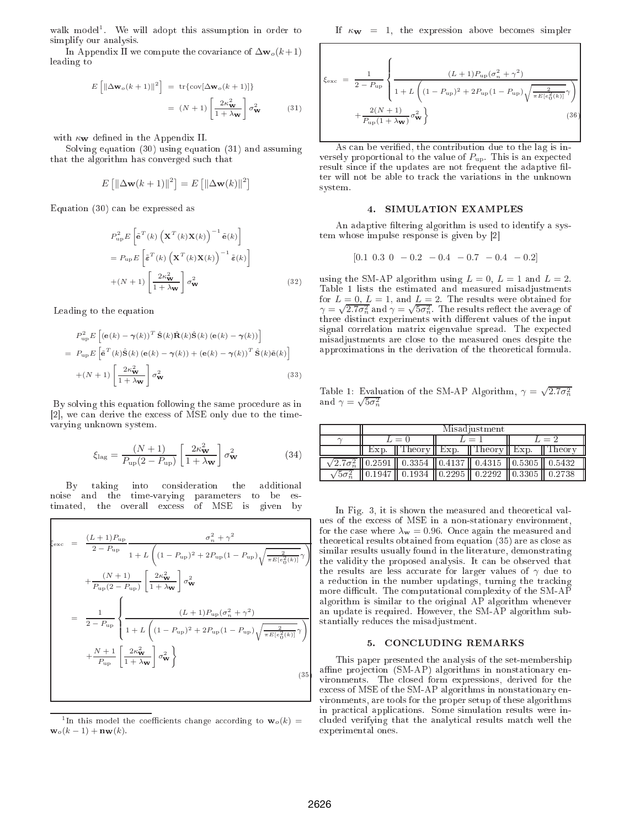walk model<sup>1</sup> . We will adopt this assumption in order to simplify our analysis.

In Appendix II we compute the covariance of  $\Delta w_o(k+1)$ leading to

$$
E\left[\left\|\Delta \mathbf{w}_o(k+1)\right\|^2\right] = \text{tr}\{\text{cov}[\Delta \mathbf{w}_o(k+1)]\}
$$

$$
= (N+1)\left[\frac{2\kappa_{\mathbf{w}}^2}{1+\lambda_{\mathbf{w}}}\right]\sigma_{\mathbf{w}}^2 \tag{31}
$$

with  $\kappa_{\mathbf{W}}$  defined in the Appendix II.

Solving equation (30) using equation (31) and assuming that the algorithm has onverged su
h that

$$
E\left[\left\|\Delta \mathbf{w}(k+1)\right\|^2\right] = E\left[\left\|\Delta \mathbf{w}(k)\right\|^2\right]
$$

Equation (30) an be expressed as

$$
P_{\rm up}^{2} E \left[ \tilde{\mathbf{e}}^{T}(k) \left( \mathbf{X}^{T}(k) \mathbf{X}(k) \right)^{-1} \tilde{\mathbf{e}}(k) \right]
$$
  
=  $P_{\rm up} E \left[ \tilde{\mathbf{e}}^{T}(k) \left( \mathbf{X}^{T}(k) \mathbf{X}(k) \right)^{-1} \tilde{\mathbf{e}}(k) \right]$   
+ $(N+1) \left[ \frac{2\kappa_{\mathbf{W}}^{2}}{1 + \lambda_{\mathbf{W}}} \right] \sigma_{\mathbf{W}}^{2}$  (32)

Leading to the equation

$$
P_{\text{up}}^{2} E \left[ \left( \mathbf{e}(k) - \gamma(k) \right)^{T} \hat{\mathbf{S}}(k) \hat{\mathbf{R}}(k) \hat{\mathbf{S}}(k) \left( \mathbf{e}(k) - \gamma(k) \right) \right]
$$
  
= 
$$
P_{\text{up}} E \left[ \tilde{\mathbf{e}}^{T}(k) \hat{\mathbf{S}}(k) \left( \mathbf{e}(k) - \gamma(k) \right) + \left( \mathbf{e}(k) - \gamma(k) \right)^{T} \hat{\mathbf{S}}(k) \tilde{\mathbf{e}}(k) \right]
$$
  
+ 
$$
(N+1) \left[ \frac{2\kappa_{\mathbf{w}}^{2}}{1 + \lambda_{\mathbf{w}}} \right] \sigma_{\mathbf{w}}^{2}
$$
(33)

By solving this equation following the same procedure as in [2], we can derive the excess of MSE only due to the timevarying unknown system.

$$
\xi_{\text{lag}} = \frac{(N+1)}{P_{\text{up}}(2 - P_{\text{up}})} \left[ \frac{2\kappa_{\mathbf{W}}^2}{1 + \lambda_{\mathbf{W}}} \right] \sigma_{\mathbf{W}}^2 \tag{34}
$$

By taking into onsideration the additional into noise and the time-varying parameters to be estimated, the overall ex
ess of MSE is given by

$$
\xi_{\text{exc}} = \frac{(L+1)P_{\text{up}}}{2 - P_{\text{up}}} \frac{\sigma_n^2 + \gamma^2}{1 + L \left( (1 - P_{\text{up}})^2 + 2P_{\text{up}} (1 - P_{\text{up}}) \sqrt{\frac{2}{\pi E [e_0^2(k)]}} \gamma \right)}
$$

$$
+ \frac{(N+1)}{P_{\text{up}} (2 - P_{\text{up}})} \left[ \frac{2\kappa_{\text{w}}^2}{1 + \lambda_{\text{w}}} \right] \sigma_{\text{w}}^2
$$

$$
= \frac{1}{2 - P_{\text{up}}} \left\{ \frac{(L+1)P_{\text{up}} (\sigma_n^2 + \gamma^2)}{1 + L \left( (1 - P_{\text{up}})^2 + 2P_{\text{up}} (1 - P_{\text{up}}) \sqrt{\frac{2}{\pi E [e_0^2(k)]}} \gamma \right)} + \frac{N+1}{P_{\text{up}}} \left[ \frac{2\kappa_{\text{w}}^2}{1 + \lambda_{\text{w}}} \right] \sigma_{\text{w}}^2 \right\}
$$
(35)

<sup>1</sup>In this model the coefficients change according to  $\mathbf{w}_o(k)$  =  $\mathbf{w}_o(k-1) + \mathbf{n}_\mathbf{W}(k).$ 

If  $\kappa_{\bf W} = 1$ , the expression above becomes simpler

$$
\xi_{\text{exc}} = \frac{1}{2 - P_{\text{up}}} \left\{ \frac{(L+1)P_{\text{up}}(\sigma_n^2 + \gamma^2)}{1 + L \left( (1 - P_{\text{up}})^2 + 2P_{\text{up}}(1 - P_{\text{up}}) \sqrt{\frac{2}{\pi E[e_0^2(k)]}} \gamma \right)} + \frac{2(N+1)}{P_{\text{up}}(1 + \lambda_{\text{w}})} \sigma_{\text{w}}^2 \right\}
$$
(36)

As can be verified, the contribution due to the lag is inversely proportional to the value of  $P_{\rm up}$ . This is an expected result since if the updates are not frequent the adaptive filter will not be able to tra
k the variations in the unknown system.

#### SIMULATION EXAMPLES

An adaptive filtering algorithm is used to identify a system whose impulse response is given by  $|2|$ 

$$
[0.1 \ 0.3 \ 0 \ -0.2 \ -0.4 \ -0.7 \ -0.4 \ -0.2]
$$

using the SM-AP algorithm using  $L = 0$ ,  $L = 1$  and  $L = 2$ . Table 1 lists the estimated and measured misadjustments for  $L = 0, L = 1$ , and  $L = 2$ . The results were obtained for  $\gamma = \sqrt{2.7\sigma_n^2}$  and  $\gamma = \sqrt{5\sigma_n^2}$ . The results reflect the average of three distinct experiments with different values of the input signal correlation matrix eigenvalue spread. The expected misadjustments are lose to the measured ones despite the approximations in the derivation of the theoreti
al formula.

Table 1: Evaluation of the SM-AP Algorithm,  $\gamma = \sqrt{2.7\sigma_n^2}$ and  $\gamma = \sqrt{5\sigma_n^2}$ 

| Misadjustment |                                                                              |         |                    |       |                    |
|---------------|------------------------------------------------------------------------------|---------|--------------------|-------|--------------------|
| $L=0$         |                                                                              | $L = 1$ |                    | $L=2$ |                    |
|               | Exp. $\ $ Theory $\ $ Exp. $\ $ Theory $\ $ Exp.                             |         |                    |       | 'Theory            |
|               | $\sqrt{2.7\sigma_n^2}$   0.2591   0.3354   0.4137   0.4315   0.5305   0.5432 |         |                    |       |                    |
|               |                                                                              |         | $\parallel$ 0.2292 |       | $\parallel$ 0.2738 |

In Fig. 3, it is shown the measured and theoretical values of the ex
ess of MSE in a non-stationary environment, for the case where  $\lambda_{\bf w}=0.96$ . Once again the measured and theoreti
al results obtained from equation (35) are as lose as similar results usually found in the literature, demonstrating the validity the proposed analysis. It an be observed that the results are less accurate for larger values of  $\gamma$  due to a reduction in the number updatings, turning the tracking more difficult. The computational complexity of the SM-AP algorithm is similar to the original AP algorithm whenever an update is required. However, the SM-AP algorithm substantially redu
es the misadjustment.

### 5. CONCLUDING REMARKS

This paper presented the analysis of the set-membership affine projection (SM-AP) algorithms in nonstationary environments. The losed form expressions, derived for the ex
ess of MSE of the SM-AP algorithms in nonstationary environments, are tools for the proper setup of these algorithms in practical applications. Some simulation results were inluded verifying that the analyti
al results mat
h well the experimental ones.